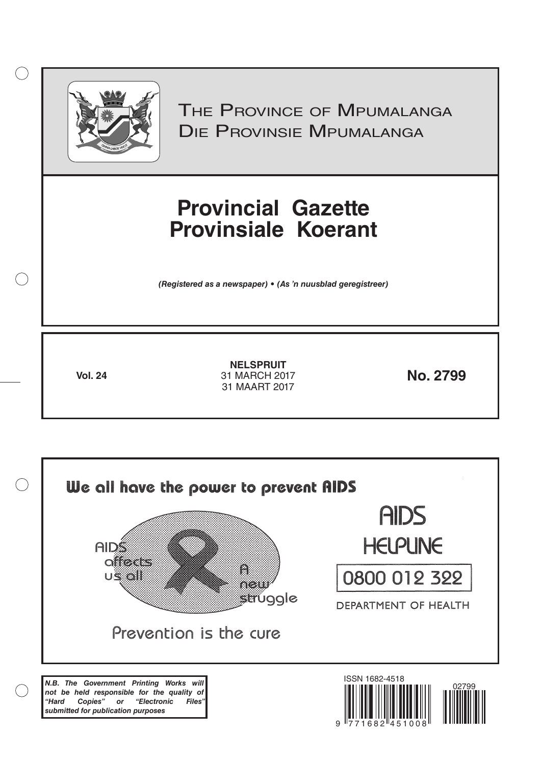

 $\bigcirc$ 

THE PROVINCE OF MPUMALANGA Die Provinsie Mpumalanga

# **Provincial Gazette Provinsiale Koerant**

*(Registered as a newspaper) • (As 'n nuusblad geregistreer)*

**Vol. 24 No. 2799** 31 MARCH 2017 **NELSPRUIT** 31 MAART 2017

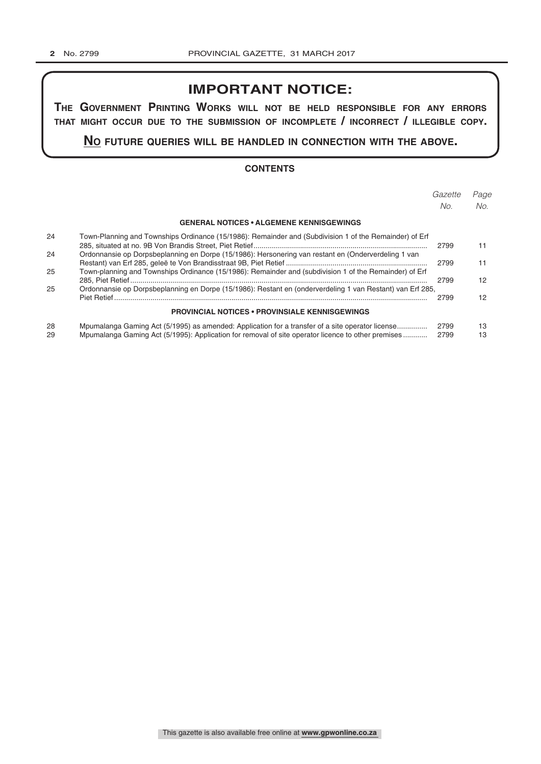# **IMPORTANT NOTICE:**

**The GovernmenT PrinTinG Works Will noT be held resPonsible for any errors ThaT miGhT occur due To The submission of incomPleTe / incorrecT / illeGible coPy.**

**no fuTure queries Will be handled in connecTion WiTh The above.**

#### **CONTENTS**

|          |                                                                                                                                                                                                        | Gazette      | Page            |
|----------|--------------------------------------------------------------------------------------------------------------------------------------------------------------------------------------------------------|--------------|-----------------|
|          |                                                                                                                                                                                                        | No.          | No.             |
|          | <b>GENERAL NOTICES • ALGEMENE KENNISGEWINGS</b>                                                                                                                                                        |              |                 |
| 24       | Town-Planning and Townships Ordinance (15/1986): Remainder and (Subdivision 1 of the Remainder) of Erf                                                                                                 | 2799         | 11              |
| 24       | Ordonnansie op Dorpsbeplanning en Dorpe (15/1986): Hersonering van restant en (Onderverdeling 1 van                                                                                                    | 2799         | 11              |
| 25       | Town-planning and Townships Ordinance (15/1986): Remainder and (subdivision 1 of the Remainder) of Erf                                                                                                 | 2799         | 12 <sup>7</sup> |
| 25       | Ordonnansie op Dorpsbeplanning en Dorpe (15/1986): Restant en (onderverdeling 1 van Restant) van Erf 285,                                                                                              | 2799         | 12 <sup>2</sup> |
|          | <b>PROVINCIAL NOTICES • PROVINSIALE KENNISGEWINGS</b>                                                                                                                                                  |              |                 |
| 28<br>29 | Mpumalanga Gaming Act (5/1995) as amended: Application for a transfer of a site operator license<br>Mpumalanga Gaming Act (5/1995): Application for removal of site operator licence to other premises | 2799<br>2799 | 13<br>13        |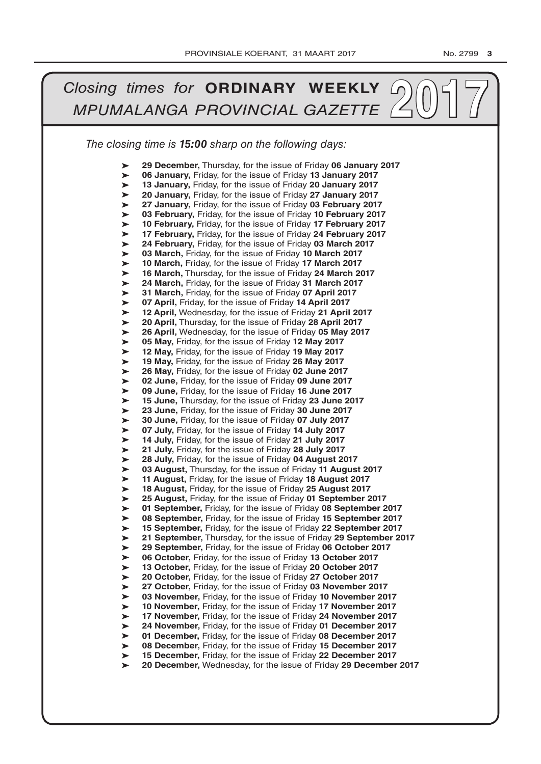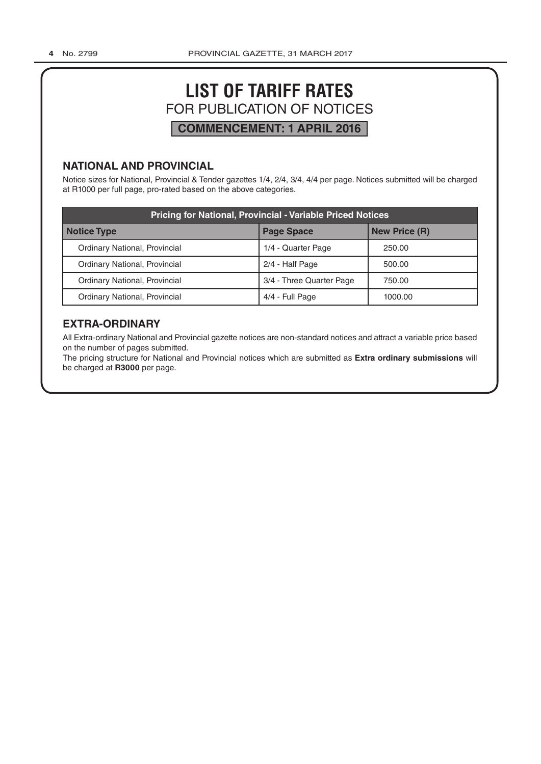# **LIST OF TARIFF RATES** FOR PUBLICATION OF NOTICES **COMMENCEMENT: 1 APRIL 2016**

#### **NATIONAL AND PROVINCIAL**

Notice sizes for National, Provincial & Tender gazettes 1/4, 2/4, 3/4, 4/4 per page. Notices submitted will be charged at R1000 per full page, pro-rated based on the above categories.

| <b>Pricing for National, Provincial - Variable Priced Notices</b> |                          |                      |  |  |  |
|-------------------------------------------------------------------|--------------------------|----------------------|--|--|--|
| Notice Type                                                       | <b>Page Space</b>        | <b>New Price (R)</b> |  |  |  |
| Ordinary National, Provincial                                     | 1/4 - Quarter Page       | 250.00               |  |  |  |
| Ordinary National, Provincial                                     | 2/4 - Half Page          | 500.00               |  |  |  |
| Ordinary National, Provincial                                     | 3/4 - Three Quarter Page | 750.00               |  |  |  |
| Ordinary National, Provincial                                     | 4/4 - Full Page          | 1000.00              |  |  |  |

#### **EXTRA-ORDINARY**

All Extra-ordinary National and Provincial gazette notices are non-standard notices and attract a variable price based on the number of pages submitted.

The pricing structure for National and Provincial notices which are submitted as **Extra ordinary submissions** will be charged at **R3000** per page.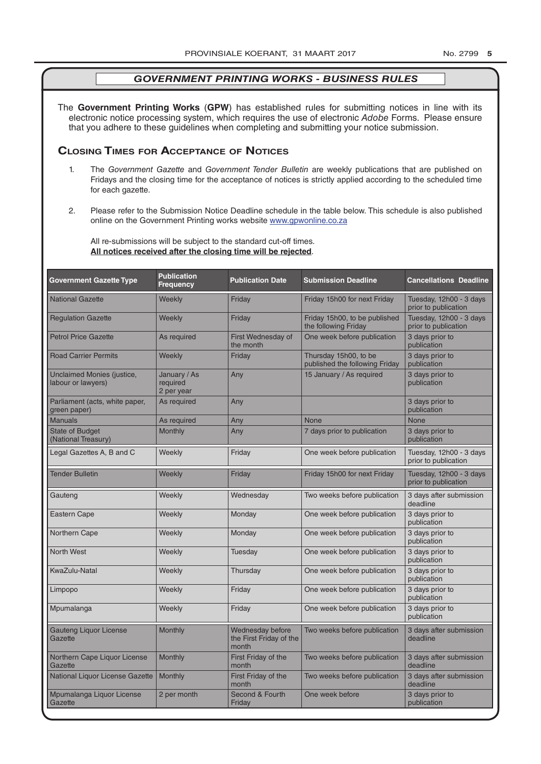The **Government Printing Works** (**GPW**) has established rules for submitting notices in line with its electronic notice processing system, which requires the use of electronic *Adobe* Forms. Please ensure that you adhere to these guidelines when completing and submitting your notice submission.

#### **Closing Times for ACCepTAnCe of noTiCes**

- 1. The *Government Gazette* and *Government Tender Bulletin* are weekly publications that are published on Fridays and the closing time for the acceptance of notices is strictly applied according to the scheduled time for each gazette.
- 2. Please refer to the Submission Notice Deadline schedule in the table below. This schedule is also published online on the Government Printing works website www.gpwonline.co.za

All re-submissions will be subject to the standard cut-off times. **All notices received after the closing time will be rejected**.

| <b>Government Gazette Type</b>                   | <b>Publication</b><br><b>Frequency</b> | <b>Publication Date</b>                              | <b>Submission Deadline</b>                              | <b>Cancellations Deadline</b>                   |
|--------------------------------------------------|----------------------------------------|------------------------------------------------------|---------------------------------------------------------|-------------------------------------------------|
| <b>National Gazette</b>                          | Weekly                                 | Friday                                               | Friday 15h00 for next Friday                            | Tuesday, 12h00 - 3 days<br>prior to publication |
| <b>Regulation Gazette</b>                        | Weekly                                 | Friday                                               | Friday 15h00, to be published<br>the following Friday   | Tuesday, 12h00 - 3 days<br>prior to publication |
| <b>Petrol Price Gazette</b>                      | As required                            | First Wednesday of<br>the month                      | One week before publication                             | 3 days prior to<br>publication                  |
| <b>Road Carrier Permits</b>                      | Weekly                                 | Friday                                               | Thursday 15h00, to be<br>published the following Friday | 3 days prior to<br>publication                  |
| Unclaimed Monies (justice,<br>labour or lawyers) | January / As<br>required<br>2 per year | Any                                                  | 15 January / As required                                | 3 days prior to<br>publication                  |
| Parliament (acts, white paper,<br>green paper)   | As required                            | Any                                                  |                                                         | 3 days prior to<br>publication                  |
| <b>Manuals</b>                                   | As required                            | Any                                                  | <b>None</b>                                             | <b>None</b>                                     |
| <b>State of Budget</b><br>(National Treasury)    | <b>Monthly</b>                         | Any                                                  | 7 days prior to publication                             | 3 days prior to<br>publication                  |
| Legal Gazettes A, B and C                        | Weekly                                 | Friday                                               | One week before publication                             | Tuesday, 12h00 - 3 days<br>prior to publication |
| <b>Tender Bulletin</b>                           | Weekly                                 | Friday                                               | Friday 15h00 for next Friday                            | Tuesday, 12h00 - 3 days<br>prior to publication |
| Gauteng                                          | Weekly                                 | Wednesday                                            | Two weeks before publication                            | 3 days after submission<br>deadline             |
| <b>Eastern Cape</b>                              | Weekly                                 | Monday                                               | One week before publication                             | 3 days prior to<br>publication                  |
| Northern Cape                                    | Weekly                                 | Monday                                               | One week before publication                             | 3 days prior to<br>publication                  |
| <b>North West</b>                                | Weekly                                 | Tuesday                                              | One week before publication                             | 3 days prior to<br>publication                  |
| KwaZulu-Natal                                    | Weekly                                 | Thursdav                                             | One week before publication                             | 3 days prior to<br>publication                  |
| Limpopo                                          | Weekly                                 | Friday                                               | One week before publication                             | 3 days prior to<br>publication                  |
| Mpumalanga                                       | Weekly                                 | Friday                                               | One week before publication                             | 3 days prior to<br>publication                  |
| <b>Gauteng Liquor License</b><br>Gazette         | Monthly                                | Wednesday before<br>the First Friday of the<br>month | Two weeks before publication                            | 3 days after submission<br>deadline             |
| Northern Cape Liquor License<br>Gazette          | Monthly                                | First Friday of the<br>month                         | Two weeks before publication                            | 3 days after submission<br>deadline             |
| National Liquor License Gazette                  | Monthly                                | First Friday of the<br>month                         | Two weeks before publication                            | 3 days after submission<br>deadline             |
| Mpumalanga Liquor License<br>Gazette             | 2 per month                            | Second & Fourth<br>Friday                            | One week before                                         | 3 days prior to<br>publication                  |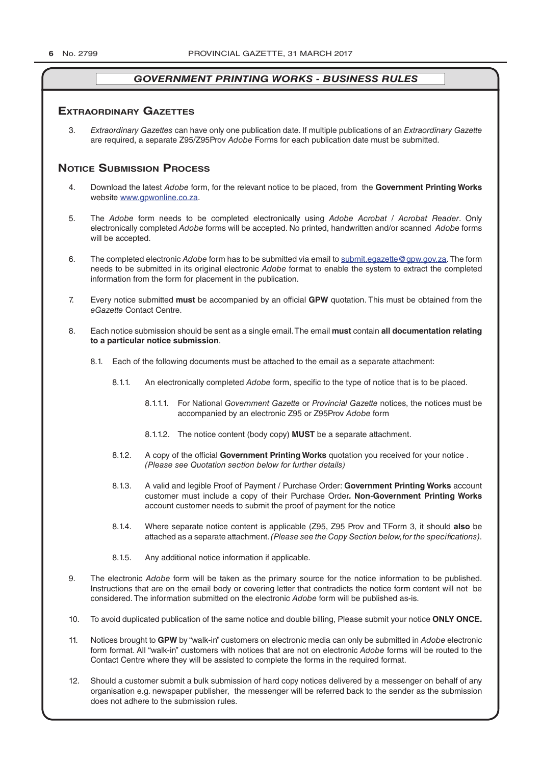#### **exTrAordinAry gAzeTTes**

3. *Extraordinary Gazettes* can have only one publication date. If multiple publications of an *Extraordinary Gazette* are required, a separate Z95/Z95Prov *Adobe* Forms for each publication date must be submitted.

#### **NOTICE SUBMISSION PROCESS**

- 4. Download the latest *Adobe* form, for the relevant notice to be placed, from the **Government Printing Works** website www.gpwonline.co.za.
- 5. The *Adobe* form needs to be completed electronically using *Adobe Acrobat* / *Acrobat Reader*. Only electronically completed *Adobe* forms will be accepted. No printed, handwritten and/or scanned *Adobe* forms will be accepted.
- 6. The completed electronic *Adobe* form has to be submitted via email to submit.egazette@gpw.gov.za. The form needs to be submitted in its original electronic *Adobe* format to enable the system to extract the completed information from the form for placement in the publication.
- 7. Every notice submitted **must** be accompanied by an official **GPW** quotation. This must be obtained from the *eGazette* Contact Centre.
- 8. Each notice submission should be sent as a single email. The email **must** contain **all documentation relating to a particular notice submission**.
	- 8.1. Each of the following documents must be attached to the email as a separate attachment:
		- 8.1.1. An electronically completed *Adobe* form, specific to the type of notice that is to be placed.
			- 8.1.1.1. For National *Government Gazette* or *Provincial Gazette* notices, the notices must be accompanied by an electronic Z95 or Z95Prov *Adobe* form
			- 8.1.1.2. The notice content (body copy) **MUST** be a separate attachment.
		- 8.1.2. A copy of the official **Government Printing Works** quotation you received for your notice . *(Please see Quotation section below for further details)*
		- 8.1.3. A valid and legible Proof of Payment / Purchase Order: **Government Printing Works** account customer must include a copy of their Purchase Order*.* **Non**-**Government Printing Works** account customer needs to submit the proof of payment for the notice
		- 8.1.4. Where separate notice content is applicable (Z95, Z95 Prov and TForm 3, it should **also** be attached as a separate attachment. *(Please see the Copy Section below, for the specifications)*.
		- 8.1.5. Any additional notice information if applicable.
- 9. The electronic *Adobe* form will be taken as the primary source for the notice information to be published. Instructions that are on the email body or covering letter that contradicts the notice form content will not be considered. The information submitted on the electronic *Adobe* form will be published as-is.
- 10. To avoid duplicated publication of the same notice and double billing, Please submit your notice **ONLY ONCE.**
- 11. Notices brought to **GPW** by "walk-in" customers on electronic media can only be submitted in *Adobe* electronic form format. All "walk-in" customers with notices that are not on electronic *Adobe* forms will be routed to the Contact Centre where they will be assisted to complete the forms in the required format.
- 12. Should a customer submit a bulk submission of hard copy notices delivered by a messenger on behalf of any organisation e.g. newspaper publisher, the messenger will be referred back to the sender as the submission does not adhere to the submission rules.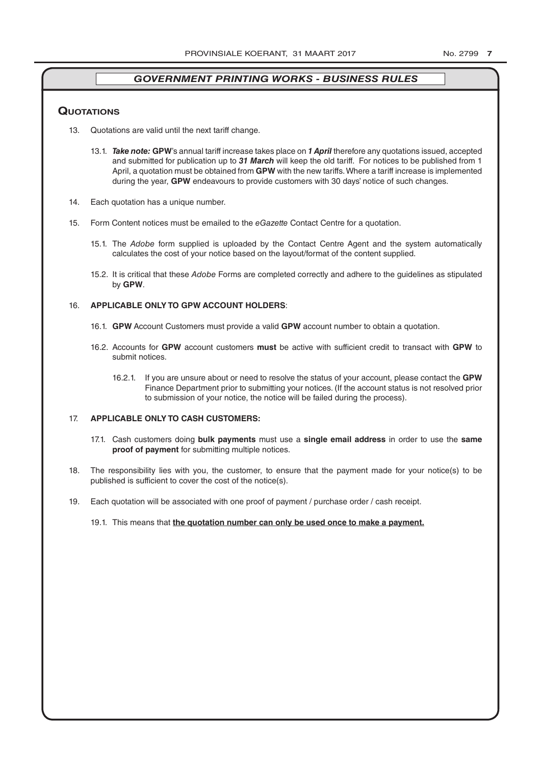#### **QuoTATions**

- 13. Quotations are valid until the next tariff change.
	- 13.1. *Take note:* **GPW**'s annual tariff increase takes place on *1 April* therefore any quotations issued, accepted and submitted for publication up to *31 March* will keep the old tariff. For notices to be published from 1 April, a quotation must be obtained from **GPW** with the new tariffs. Where a tariff increase is implemented during the year, **GPW** endeavours to provide customers with 30 days' notice of such changes.
- 14. Each quotation has a unique number.
- 15. Form Content notices must be emailed to the *eGazette* Contact Centre for a quotation.
	- 15.1. The *Adobe* form supplied is uploaded by the Contact Centre Agent and the system automatically calculates the cost of your notice based on the layout/format of the content supplied.
	- 15.2. It is critical that these *Adobe* Forms are completed correctly and adhere to the guidelines as stipulated by **GPW**.

#### 16. **APPLICABLE ONLY TO GPW ACCOUNT HOLDERS**:

- 16.1. **GPW** Account Customers must provide a valid **GPW** account number to obtain a quotation.
- 16.2. Accounts for **GPW** account customers **must** be active with sufficient credit to transact with **GPW** to submit notices.
	- 16.2.1. If you are unsure about or need to resolve the status of your account, please contact the **GPW** Finance Department prior to submitting your notices. (If the account status is not resolved prior to submission of your notice, the notice will be failed during the process).

#### 17. **APPLICABLE ONLY TO CASH CUSTOMERS:**

- 17.1. Cash customers doing **bulk payments** must use a **single email address** in order to use the **same proof of payment** for submitting multiple notices.
- 18. The responsibility lies with you, the customer, to ensure that the payment made for your notice(s) to be published is sufficient to cover the cost of the notice(s).
- 19. Each quotation will be associated with one proof of payment / purchase order / cash receipt.
	- 19.1. This means that **the quotation number can only be used once to make a payment.**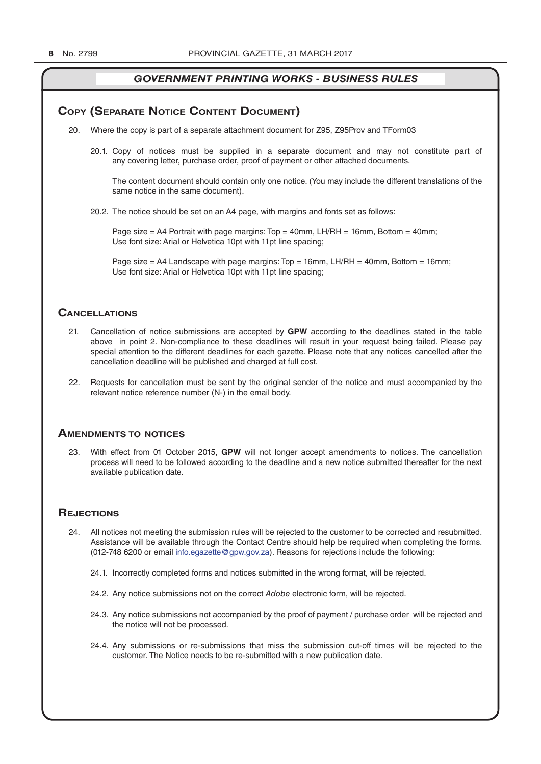#### **COPY (SEPARATE NOTICE CONTENT DOCUMENT)**

- 20. Where the copy is part of a separate attachment document for Z95, Z95Prov and TForm03
	- 20.1. Copy of notices must be supplied in a separate document and may not constitute part of any covering letter, purchase order, proof of payment or other attached documents.

The content document should contain only one notice. (You may include the different translations of the same notice in the same document).

20.2. The notice should be set on an A4 page, with margins and fonts set as follows:

Page size  $=$  A4 Portrait with page margins: Top  $=$  40mm, LH/RH  $=$  16mm, Bottom  $=$  40mm; Use font size: Arial or Helvetica 10pt with 11pt line spacing;

Page size = A4 Landscape with page margins: Top = 16mm, LH/RH = 40mm, Bottom = 16mm; Use font size: Arial or Helvetica 10pt with 11pt line spacing;

#### **CAnCellATions**

- 21. Cancellation of notice submissions are accepted by **GPW** according to the deadlines stated in the table above in point 2. Non-compliance to these deadlines will result in your request being failed. Please pay special attention to the different deadlines for each gazette. Please note that any notices cancelled after the cancellation deadline will be published and charged at full cost.
- 22. Requests for cancellation must be sent by the original sender of the notice and must accompanied by the relevant notice reference number (N-) in the email body.

#### **AmendmenTs To noTiCes**

23. With effect from 01 October 2015, **GPW** will not longer accept amendments to notices. The cancellation process will need to be followed according to the deadline and a new notice submitted thereafter for the next available publication date.

#### **REJECTIONS**

- 24. All notices not meeting the submission rules will be rejected to the customer to be corrected and resubmitted. Assistance will be available through the Contact Centre should help be required when completing the forms. (012-748 6200 or email info.egazette@gpw.gov.za). Reasons for rejections include the following:
	- 24.1. Incorrectly completed forms and notices submitted in the wrong format, will be rejected.
	- 24.2. Any notice submissions not on the correct *Adobe* electronic form, will be rejected.
	- 24.3. Any notice submissions not accompanied by the proof of payment / purchase order will be rejected and the notice will not be processed.
	- 24.4. Any submissions or re-submissions that miss the submission cut-off times will be rejected to the customer. The Notice needs to be re-submitted with a new publication date.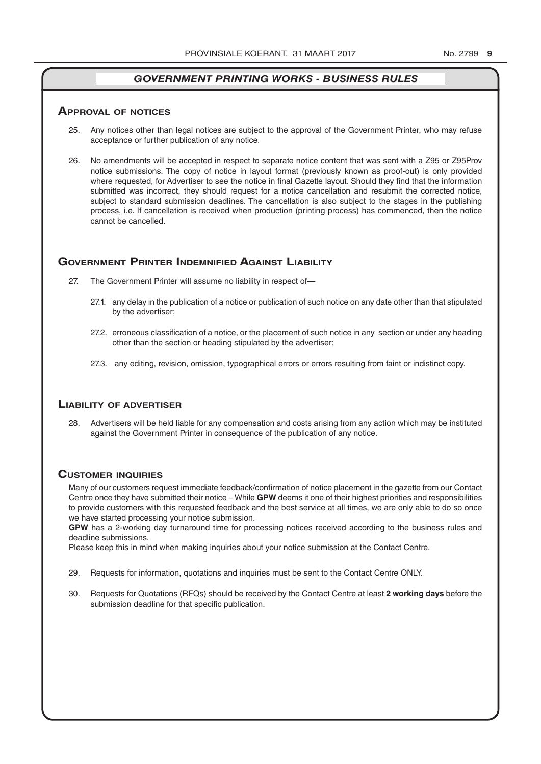#### **ApprovAl of noTiCes**

- 25. Any notices other than legal notices are subject to the approval of the Government Printer, who may refuse acceptance or further publication of any notice.
- 26. No amendments will be accepted in respect to separate notice content that was sent with a Z95 or Z95Prov notice submissions. The copy of notice in layout format (previously known as proof-out) is only provided where requested, for Advertiser to see the notice in final Gazette layout. Should they find that the information submitted was incorrect, they should request for a notice cancellation and resubmit the corrected notice, subject to standard submission deadlines. The cancellation is also subject to the stages in the publishing process, i.e. If cancellation is received when production (printing process) has commenced, then the notice cannot be cancelled.

#### **governmenT prinTer indemnified AgAinsT liAbiliTy**

- 27. The Government Printer will assume no liability in respect of—
	- 27.1. any delay in the publication of a notice or publication of such notice on any date other than that stipulated by the advertiser;
	- 27.2. erroneous classification of a notice, or the placement of such notice in any section or under any heading other than the section or heading stipulated by the advertiser;
	- 27.3. any editing, revision, omission, typographical errors or errors resulting from faint or indistinct copy.

#### **liAbiliTy of AdverTiser**

28. Advertisers will be held liable for any compensation and costs arising from any action which may be instituted against the Government Printer in consequence of the publication of any notice.

#### **CusTomer inQuiries**

Many of our customers request immediate feedback/confirmation of notice placement in the gazette from our Contact Centre once they have submitted their notice – While **GPW** deems it one of their highest priorities and responsibilities to provide customers with this requested feedback and the best service at all times, we are only able to do so once we have started processing your notice submission.

**GPW** has a 2-working day turnaround time for processing notices received according to the business rules and deadline submissions.

Please keep this in mind when making inquiries about your notice submission at the Contact Centre.

- 29. Requests for information, quotations and inquiries must be sent to the Contact Centre ONLY.
- 30. Requests for Quotations (RFQs) should be received by the Contact Centre at least **2 working days** before the submission deadline for that specific publication.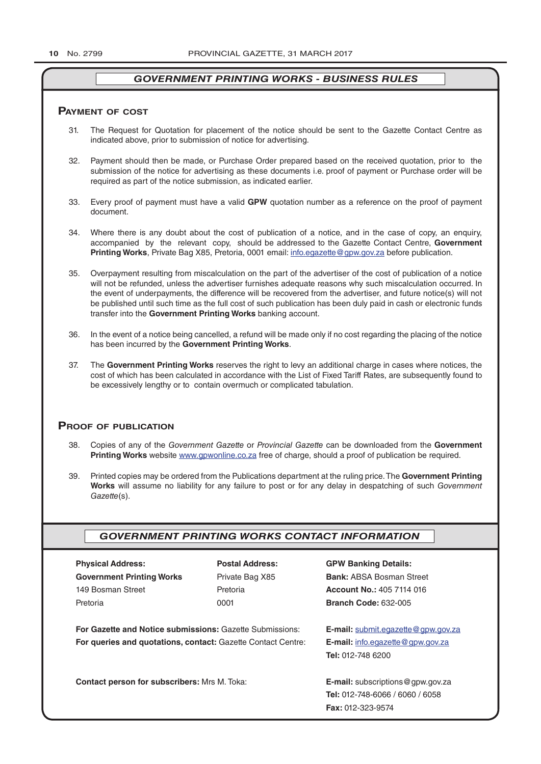#### **pAymenT of CosT**

- 31. The Request for Quotation for placement of the notice should be sent to the Gazette Contact Centre as indicated above, prior to submission of notice for advertising.
- 32. Payment should then be made, or Purchase Order prepared based on the received quotation, prior to the submission of the notice for advertising as these documents i.e. proof of payment or Purchase order will be required as part of the notice submission, as indicated earlier.
- 33. Every proof of payment must have a valid **GPW** quotation number as a reference on the proof of payment document.
- 34. Where there is any doubt about the cost of publication of a notice, and in the case of copy, an enquiry, accompanied by the relevant copy, should be addressed to the Gazette Contact Centre, **Government Printing Works**, Private Bag X85, Pretoria, 0001 email: info.egazette@gpw.gov.za before publication.
- 35. Overpayment resulting from miscalculation on the part of the advertiser of the cost of publication of a notice will not be refunded, unless the advertiser furnishes adequate reasons why such miscalculation occurred. In the event of underpayments, the difference will be recovered from the advertiser, and future notice(s) will not be published until such time as the full cost of such publication has been duly paid in cash or electronic funds transfer into the **Government Printing Works** banking account.
- 36. In the event of a notice being cancelled, a refund will be made only if no cost regarding the placing of the notice has been incurred by the **Government Printing Works**.
- 37. The **Government Printing Works** reserves the right to levy an additional charge in cases where notices, the cost of which has been calculated in accordance with the List of Fixed Tariff Rates, are subsequently found to be excessively lengthy or to contain overmuch or complicated tabulation.

#### **proof of publiCATion**

- 38. Copies of any of the *Government Gazette* or *Provincial Gazette* can be downloaded from the **Government Printing Works** website www.gpwonline.co.za free of charge, should a proof of publication be required.
- 39. Printed copies may be ordered from the Publications department at the ruling price. The **Government Printing Works** will assume no liability for any failure to post or for any delay in despatching of such *Government Gazette*(s).

#### *GOVERNMENT PRINTING WORKS CONTACT INFORMATION*

| <b>Physical Address:</b>                                 | <b>Postal Address:</b>                                              | <b>GPW Banking Details:</b>               |
|----------------------------------------------------------|---------------------------------------------------------------------|-------------------------------------------|
| <b>Government Printing Works</b>                         | Private Bag X85                                                     | <b>Bank: ABSA Bosman Street</b>           |
| 149 Bosman Street                                        | Pretoria                                                            | <b>Account No.: 405 7114 016</b>          |
| Pretoria                                                 | 0001                                                                | <b>Branch Code: 632-005</b>               |
| For Gazette and Notice submissions: Gazette Submissions: |                                                                     | <b>E-mail:</b> submit.eqazette@gpw.gov.za |
|                                                          | <b>For queries and quotations, contact: Gazette Contact Centre:</b> |                                           |
|                                                          |                                                                     | <b>Tel: 012-748 6200</b>                  |
| <b>Contact person for subscribers: Mrs M. Toka:</b>      | <b>E-mail:</b> subscriptions $@$ gpw.gov.za                         |                                           |
|                                                          |                                                                     | <b>Tel: 012-748-6066 / 6060 / 6058</b>    |
|                                                          |                                                                     | Fax: 012-323-9574                         |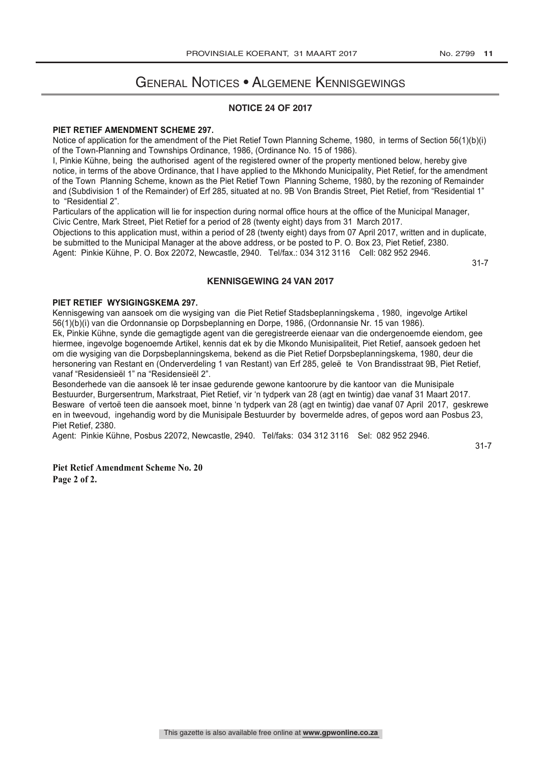## General Notices • Algemene Kennisgewings

#### **NOTICE 24 OF 2017**

#### **PIET RETIEF AMENDMENT SCHEME 297.**

Notice of application for the amendment of the Piet Retief Town Planning Scheme, 1980, in terms of Section 56(1)(b)(i) of the Town-Planning and Townships Ordinance, 1986, (Ordinance No. 15 of 1986).

I, Pinkie Kühne, being the authorised agent of the registered owner of the property mentioned below, hereby give notice, in terms of the above Ordinance, that I have applied to the Mkhondo Municipality, Piet Retief, for the amendment of the Town Planning Scheme, known as the Piet Retief Town Planning Scheme, 1980, by the rezoning of Remainder and (Subdivision 1 of the Remainder) of Erf 285, situated at no. 9B Von Brandis Street, Piet Retief, from "Residential 1" to "Residential 2".

Particulars of the application will lie for inspection during normal office hours at the office of the Municipal Manager, Civic Centre, Mark Street, Piet Retief for a period of 28 (twenty eight) days from 31 March 2017.

Objections to this application must, within a period of 28 (twenty eight) days from 07 April 2017, written and in duplicate, be submitted to the Municipal Manager at the above address, or be posted to P. O. Box 23, Piet Retief, 2380. Agent: Pinkie Kühne, P. O. Box 22072, Newcastle, 2940. Tel/fax.: 034 312 3116 Cell: 082 952 2946.

31-7

#### **KENNISGEWING 24 VAN 2017**

#### **PIET RETIEF WYSIGINGSKEMA 297.**

Kennisgewing van aansoek om die wysiging van die Piet Retief Stadsbeplanningskema , 1980, ingevolge Artikel 56(1)(b)(i) van die Ordonnansie op Dorpsbeplanning en Dorpe, 1986, (Ordonnansie Nr. 15 van 1986).

Ek, Pinkie Kühne, synde die gemagtigde agent van die geregistreerde eienaar van die ondergenoemde eiendom, gee hiermee, ingevolge bogenoemde Artikel, kennis dat ek by die Mkondo Munisipaliteit, Piet Retief, aansoek gedoen het om die wysiging van die Dorpsbeplanningskema, bekend as die Piet Retief Dorpsbeplanningskema, 1980, deur die hersonering van Restant en (Onderverdeling 1 van Restant) van Erf 285, geleë te Von Brandisstraat 9B, Piet Retief, vanaf "Residensieёl 1" na "Residensieël 2".

Besonderhede van die aansoek lê ter insae gedurende gewone kantoorure by die kantoor van die Munisipale Bestuurder, Burgersentrum, Markstraat, Piet Retief, vir 'n tydperk van 28 (agt en twintig) dae vanaf 31 Maart 2017. Besware of vertoё teen die aansoek moet, binne 'n tydperk van 28 (agt en twintig) dae vanaf 07 April 2017, geskrewe en in tweevoud, ingehandig word by die Munisipale Bestuurder by bovermelde adres, of gepos word aan Posbus 23, Piet Retief, 2380.

Agent: Pinkie Kühne, Posbus 22072, Newcastle, 2940. Tel/faks: 034 312 3116 Sel: 082 952 2946.

31-7

**Piet Retief Amendment Scheme No. 20 Page 2 of 2.**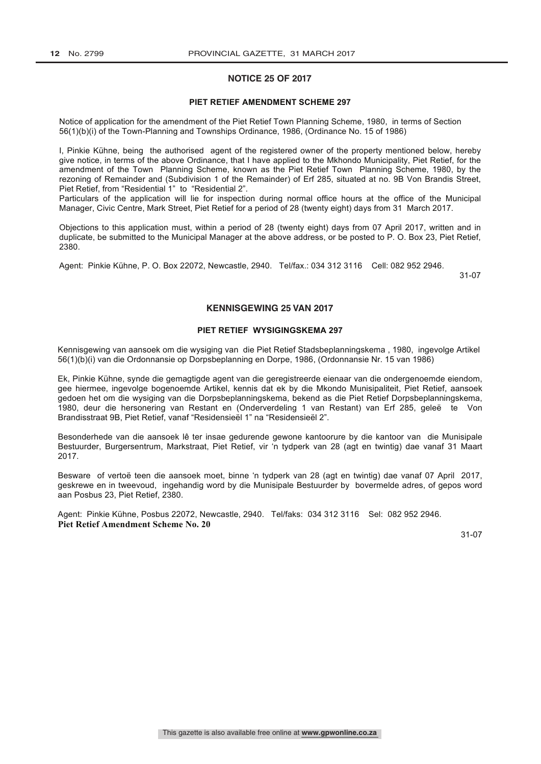#### **NOTICE 25 OF 2017**

#### **PIET RETIEF AMENDMENT SCHEME 297**

Notice of application for the amendment of the Piet Retief Town Planning Scheme, 1980, in terms of Section 56(1)(b)(i) of the Town-Planning and Townships Ordinance, 1986, (Ordinance No. 15 of 1986)

I, Pinkie Kühne, being the authorised agent of the registered owner of the property mentioned below, hereby give notice, in terms of the above Ordinance, that I have applied to the Mkhondo Municipality, Piet Retief, for the amendment of the Town Planning Scheme, known as the Piet Retief Town Planning Scheme, 1980, by the rezoning of Remainder and (Subdivision 1 of the Remainder) of Erf 285, situated at no. 9B Von Brandis Street, Piet Retief, from "Residential 1" to "Residential 2".

Particulars of the application will lie for inspection during normal office hours at the office of the Municipal Manager, Civic Centre, Mark Street, Piet Retief for a period of 28 (twenty eight) days from 31 March 2017.

Objections to this application must, within a period of 28 (twenty eight) days from 07 April 2017, written and in duplicate, be submitted to the Municipal Manager at the above address, or be posted to P. O. Box 23, Piet Retief, 2380.

Agent: Pinkie Kühne, P. O. Box 22072, Newcastle, 2940. Tel/fax.: 034 312 3116 Cell: 082 952 2946.

31-07

#### **KENNISGEWING 25 VAN 2017**

#### **PIET RETIEF WYSIGINGSKEMA 297**

Kennisgewing van aansoek om die wysiging van die Piet Retief Stadsbeplanningskema , 1980, ingevolge Artikel 56(1)(b)(i) van die Ordonnansie op Dorpsbeplanning en Dorpe, 1986, (Ordonnansie Nr. 15 van 1986)

Ek, Pinkie Kühne, synde die gemagtigde agent van die geregistreerde eienaar van die ondergenoemde eiendom, gee hiermee, ingevolge bogenoemde Artikel, kennis dat ek by die Mkondo Munisipaliteit, Piet Retief, aansoek gedoen het om die wysiging van die Dorpsbeplanningskema, bekend as die Piet Retief Dorpsbeplanningskema, 1980, deur die hersonering van Restant en (Onderverdeling 1 van Restant) van Erf 285, geleë te Von Brandisstraat 9B, Piet Retief, vanaf "Residensieёl 1" na "Residensieël 2".

Besonderhede van die aansoek lê ter insae gedurende gewone kantoorure by die kantoor van die Munisipale Bestuurder, Burgersentrum, Markstraat, Piet Retief, vir 'n tydperk van 28 (agt en twintig) dae vanaf 31 Maart 2017.

Besware of vertoё teen die aansoek moet, binne 'n tydperk van 28 (agt en twintig) dae vanaf 07 April 2017, geskrewe en in tweevoud, ingehandig word by die Munisipale Bestuurder by bovermelde adres, of gepos word aan Posbus 23, Piet Retief, 2380.

Agent: Pinkie Kühne, Posbus 22072, Newcastle, 2940. Tel/faks: 034 312 3116 Sel: 082 952 2946. **Piet Retief Amendment Scheme No. 20**

31-07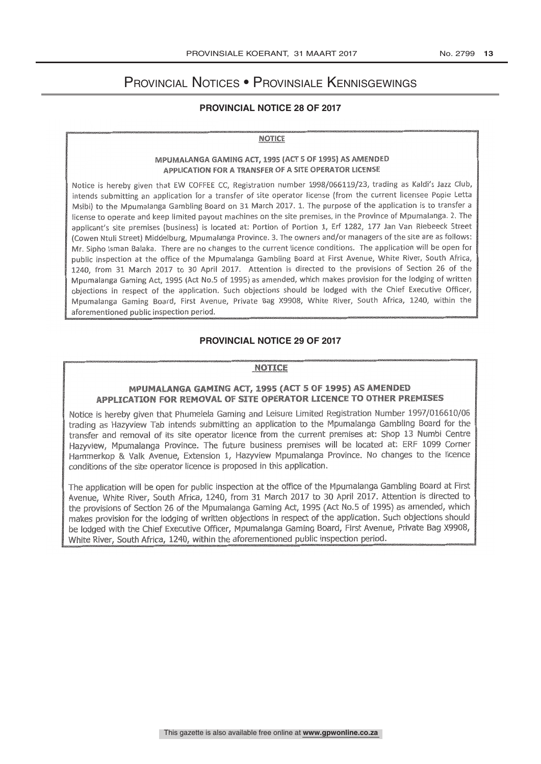### Provincial Notices • Provinsiale Kennisgewings

#### **PROVINCIAL NOTICE 28 OF 2017**

#### **NOTICE**

#### MPUMALANGA GAMING ACT, 1995 (ACT 5 OF 1995) AS AMENDED APPLICATION FOR A TRANSFER OF A SITE OPERATOR LICENSE

Notice is hereby given that EW COFFEE CC, Registration number 1998/066119/23, trading as Kaldi's Jazz Club, intends submitting an application for a transfer of site operator license (from the current licensee Popie Letta Msibi) to the Mpumalanga Gambling Board on 31 March 2017. 1. The purpose of the application is to transfer <sup>a</sup> license to operate and keep limited payout machines on the site premises, in the Province of Mpumalanga. 2. The applicant's site premises (business) is located at: Portion of Portion 1, Erf 1282, 177 Jan Van Riebeeck Street (Cowen Ntuli Street) Middelburg, Mpumalanga Province. 3. The owners and/or managers of the site are as follows: Mr. Sipho Isman Balaka. There are no changes to the current licence conditions. The application will be open for public inspection at the office of the Mpumalanga Gambling Board at First Avenue, White River, South Africa, 1240, from 31 March 2017 to 30 April 2017. Attention is directed to the provisions of Section 26 of the Mpumalanga Gaming Act, 1995 (Act No.5 of 1995) as amended, which makes provision for the lodging of written objections in respect of the application. Such objections should be lodged with the Chief Executive Officer, Mpumalanga Gaming Board, First Avenue, Private Bag x9908, White River, South Africa, 1240, within the aforementioned public inspection period.

#### **PROVINCIAL NOTICE 29 OF 2017**

#### **NOTICE**

#### MPUMALANGA GAMING ACT, 1995 (ACT 5 OF 1995) AS AMENDED APPLICATION FOR REMOVAL OF SITE OPERATOR LICENCE TO OTHER PREMISES

Notice is hereby given that Phumelela Gaming and Leisure Limited Registration Number 1997/016610/06 trading as Hazyview Tab intends submitting an application to the Mpumalanga Gambling Board for the transfer and removal of its site operator licence from the current premises at: Shop 13 Numbi Centre Hazyview, Mpumalanga Province. The future business premises will be located at: ERF 1099 Corner Hammerkop & Valk Avenue, Extension 1, Hazyview Mpumalanga Province. No changes to the licence conditions of the site operator licence is proposed in this application.

The application will be open for public inspection at the office of the Mpumalanga Gambling Board at First Avenue, White River, South Africa, 1240, from 31 March 2017 to 30 April 2017. Attention is directed to the provisions of Section 26 of the Mpumalanga Gaming Act, 1995 (Act No.5 of 1995) as amended, which makes provision for the lodging of written objections in respect of the application. Such objections should be lodged with the Chief Executive Officer, Mpumalanga Gaming Board, First Avenue, Private Bag X9908, White River, South Africa, 1240, within the aforementioned public inspection period.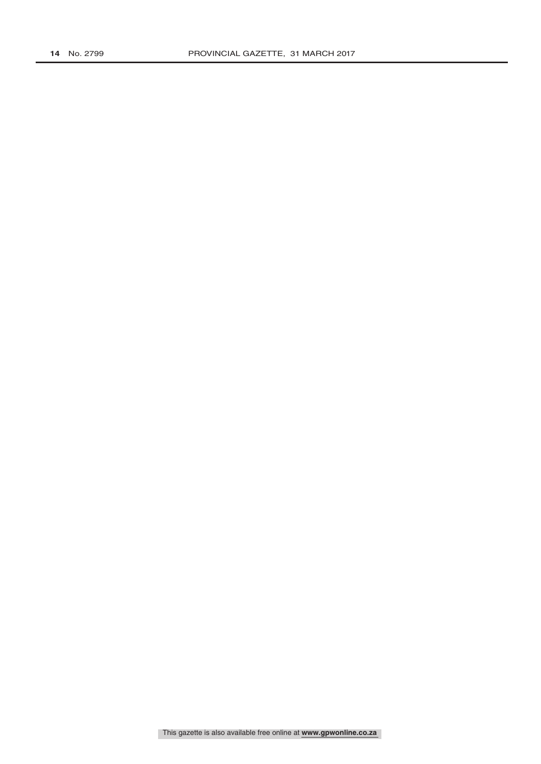This gazette is also available free online at **www.gpwonline.co.za**